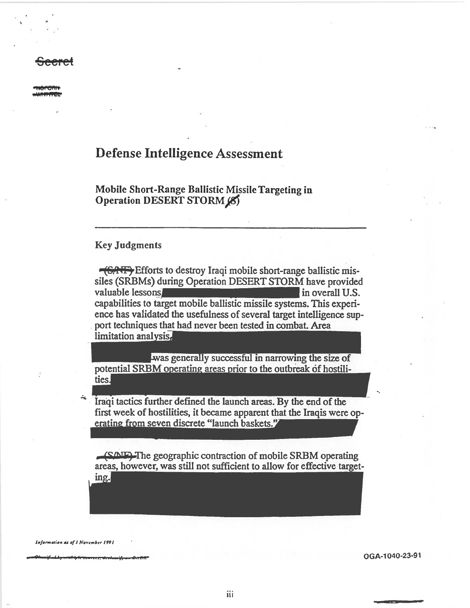# **Defense Intelligence Assessment**

Mobile Short-Range Ballistic Missile Targeting in Operation DESERT STORM (8)

### **Key Judgments**

<del>(CANE)</del> Efforts to destroy Iraqi mobile short-range ballistic missiles (SRBMs) during Operation DESERT STORM have provided valuable lessons in overall U.S. capabilities to target mobile ballistic missile systems. This experience has validated the usefulness of several target intelligence support techniques that had never been tested in combat. Area limitation analysis,

was generally successful in narrowing the size of potential SRBM operating areas prior to the outbreak of hostilities.

Iraqi tactics further defined the launch areas. By the end of the first week of hostilities, it became apparent that the Iraqis were operating from seven discrete "launch baskets."

**SAIF**) The geographic contraction of mobile SRBM operating areas, however, was still not sufficient to allow for effective targeting.

Information as of I November 1991

OGA-1040-23-91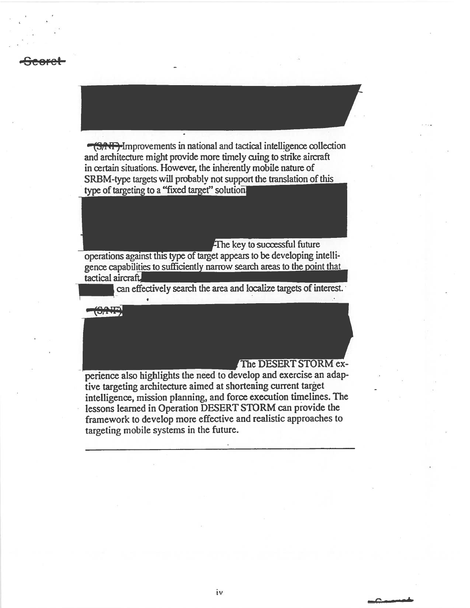**TEAT**-Improvements in national and tactical intelligence collection and architecture might provide more timely cuing to strike aircraft in certain situations. However, the inherently mobile nature of SRBM-type targets will probably not support the translation of this type of targeting to a "fixed target" solution.

### The key to successful future

operations against this type of target appears to be developing intelligence capabilities to sufficiently narrow search areas to the point that tactical aircraft

can effectively search the area and localize targets of interest.



## The DESERT STORM ex-

perience also highlights the need to develop and exercise an adaptive targeting architecture aimed at shortening current target intelligence, mission planning, and force execution timelines. The lessons learned in Operation DESERT STORM can provide the framework to develop more effective and realistic approaches to targeting mobile systems in the future.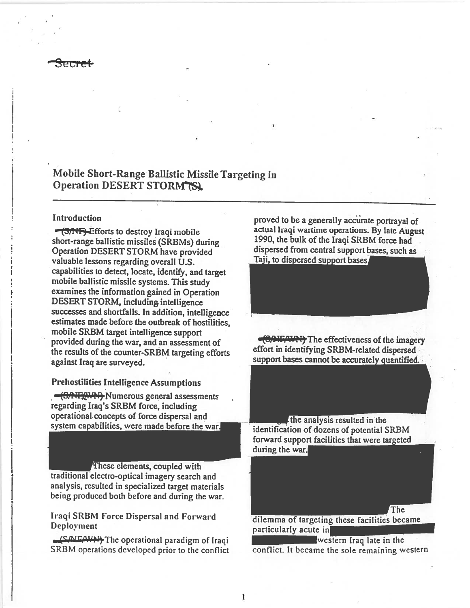

# Mobile Short-Range Ballistic Missile Targeting in Operation DESERT STORM TSL

### Introduction

 $-$ (3/ $\overline{AB}$ ). Efforts to destroy Iraqi mobile short-range ballistic missiles (SRBMs) during Operation DESERT STORM have provided valuable lessons regarding overall U.S. capabilities to detect, locate, identify, and target mobile ballistic missile systems. This study examines the information gained in Operation DESERT STORM, including intelligence successes and shortfalls. In addition, intelligence estimates made before the outbreak of hostilities, mobile SRBM target intelligence support provided during the war, and an assessment of the results of the counter-SRBM targeting efforts against Iraq are surveyed.

Prehostilities Intelligence Assumptions

• <del>• (SAUXWAY</del> Numerous general assessments regarding Iraq's SRBM force, including operational. concepts of force dispersal and system capabilities, were made before the war.

These elements, coupled with traditional electro-optical imagery search and analysis, resulted in specialized target materials being produced both before and during the war.

CAIFAVIE The operational paradigm of Iraqi<br>SRBM operations developed prior to the conflict conflict. It became the sole remaining w

proved to be a generally accurate portrayal of actual Iraqi wartime operations. By late August 1990, the bulk of the Iraqi SRBM force had dispersed from central support bases, such as Taji, to dispersed support bases.

**CANFARY** The effectiveness of the imagery effort in identifying SRBM-related dispersed support bases cannot be accurately quantified.

the analysis resulted in the identification of dozens of potential SRBM forward support facilities that were during the war.

Iraqi SRBM Force Dispersal and Forward dilemma of targeting these facilities became<br>Deployment particularly acute in

conflict. It became the sole remaining western

I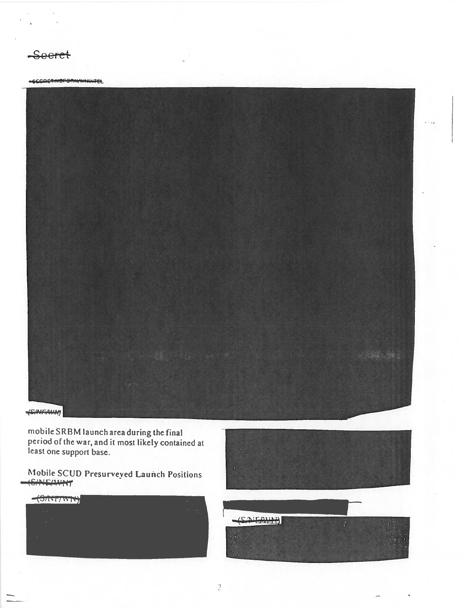Seeret

### -ECODETHOFORHWHINTEL



mobile SRBM launch area during the final<br>period of the war, and it most likely contained at<br>least one support base.

Mobile SCUD Presurveyed Launch Positions -GANEAWNT

| $-$ (S/NT/WIN)               | и<br>٠                             |
|------------------------------|------------------------------------|
| $\mathbf{r} \in \mathcal{R}$ | $\overline{\phantom{a}}$<br>$\sim$ |
| ×                            |                                    |
| ٠                            |                                    |
|                              |                                    |
|                              |                                    |



 $(SATEOUP)$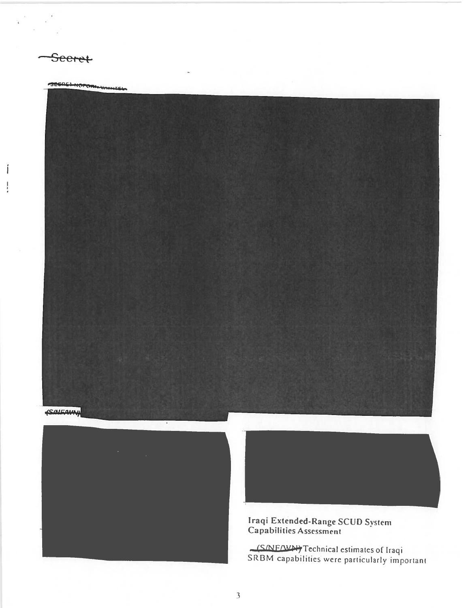Seeret

SECRETHIOPORINHHITEL





Iraqi Extended-Range SCUD System<br>Capabilities Assessment

(S/NE/WN) Technical estimates of Iraqi<br>SRBM capabilities were particularly important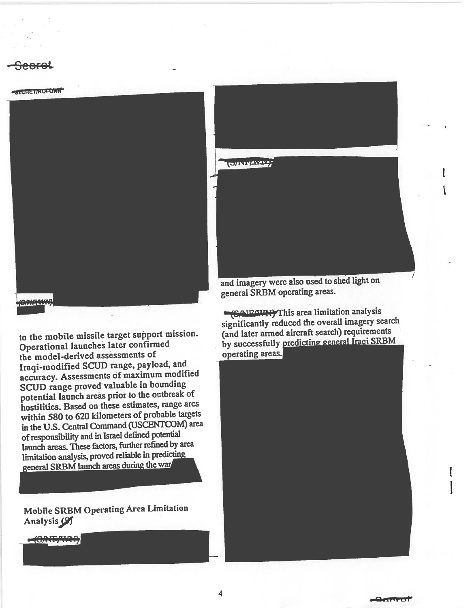



to the mobile missile target support mission. Operational launches later confirmed the model-derived assessments of Iraqi-modified SCUD range, payload, and accuracy. Assessments of maximum modified SCUD range prove<sup>d</sup> valuable in bounding potential launch areas prior to the outbreak of hostilities. Based on these estimates, range arcs within <sup>580</sup> to <sup>620</sup> kilometers of probable targets in the U.S. Central Command (USCENTCOM) area of responsibility and in Israel defined potential launch areas. These factors, further refined by area limitation analysis, proved reliable in predicting<br>general SRBM launch areas during the war

Mobi)e SRBM Operating Area limitation Analysis<sup>(9)</sup>

 $-6$ 



and imagery were also used to shed light on genera<sup>l</sup> SRBM operating areas.

'MLWiThis area limitation analysis significantly reduced the overall imagery search (and later armed aircraft search) requirements by successfully predicting general Iraqi SRBM operating areas.'

I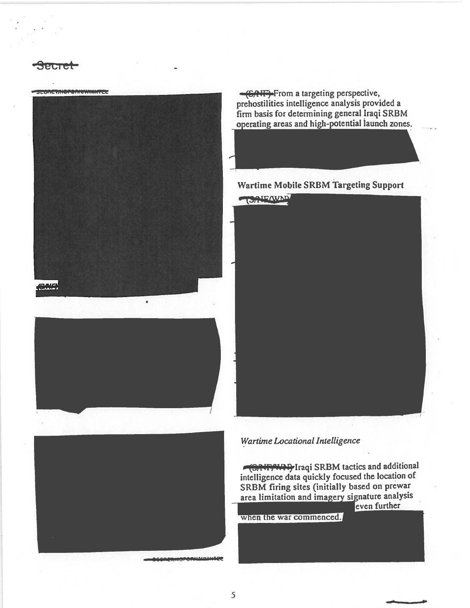SCORETAIOPOAINWWWPEE







**GAIF**>From a targeting perspective, prehostilities intelligence analysis provided a firm basis for determining general Iraqi SRBM operating areas and high-potential launch zones.

# **Wartime Mobile SRBM Targeting Support**

OAIEWAN

## Wartime Locational Intelligence

(SAVE WAY Iraqi SRBM tactics and additional intelligence data quickly focused the location of SRBM firing sites (initially based on prewar area limitation and imagery signature analysis even further

when the war commenced.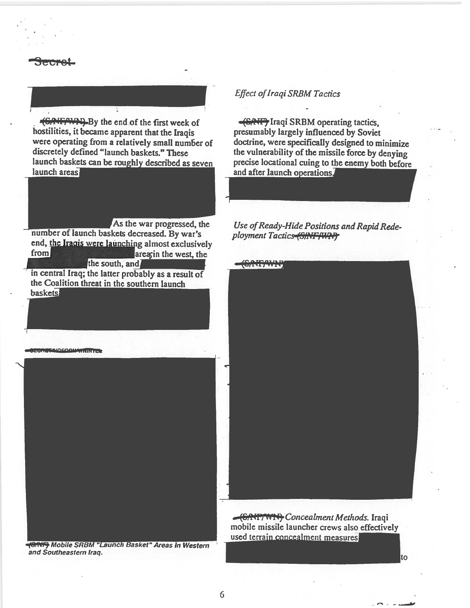-(Gif,'WN)\_By the end of the first week of hostilities, it became apparent that the Iraqis were operating from a relatively small number of discretely defined "launch baskets." These launch baskets can be roughly described as seven launch areas

As the war progressed, the number of launch baskets decreased. By war's end, the Iraqis were launching almost exclusively from areasin the west, the the south, and in central Iraq; the latter probably as a result of the Coalition threat in the southern launch

**SECRETAIOEORNAVKIKTEL** 

**baskets** 



and Southeastern Iraq.

## **Effect of Iraqi SRBM Tactics**

**(CATF)** Iraqi SRBM operating tactics, presumably largely influenced by Soviet doctrine, were specifically designed to minimize the vulnerability of the missile force by denying precise locational cuing to the enemy both before<br>and after launch operations.

Use of Ready-Hide Positions and Rapid Redeployment Tactics (SINF/WAF)



GRITT WIRT Concealment Methods. Iraqi mobile missile launcher crews also effectively<br>used terrain concealment measures

\_••%\_ -.---

to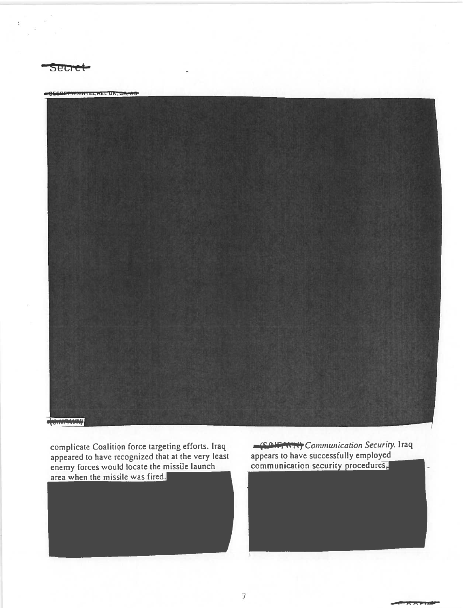

**SECRET WINNIFEL HEL UK, CA. AS** 



complicate Coalition force targeting efforts. Iraq<br>appeared to have recognized that at the very least<br>enemy forces would locate the missile launch<br>area when the missile was fired.

Coverwrity Communication Security. Iraq appears to have successfully employed communication security procedures,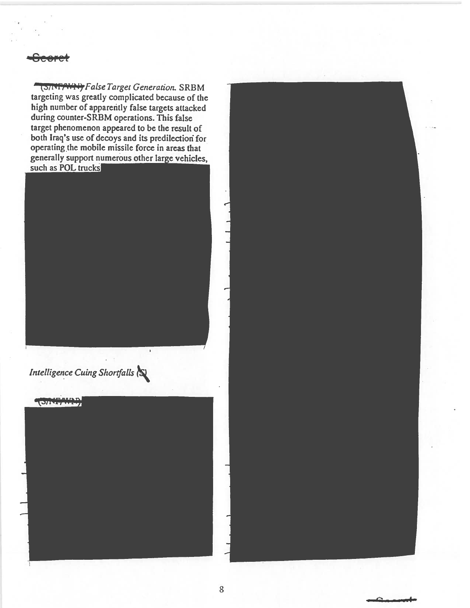(SINTTWING False Target Generation. SRBM targeting was greatly complicated because of the high number of apparently false targets attacked during counter-SRBM operations. This false target phenomenon appeared to be the result of both Iraq's use of decoys and its predilection for operating the mobile missile force in areas that generally support numerous other large vehicles, such as POL trucks

Intelligence Cuing Shortfalls

CONFANAD

8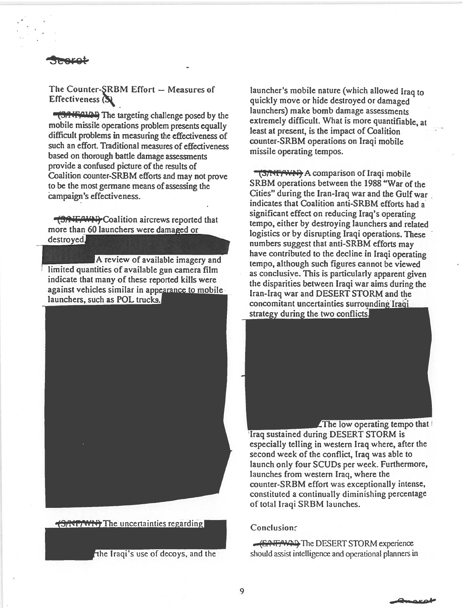## The Counter-SRBM Effort  $-$  Measures of **Effectiveness** (S)

**1,991 FALAD** The targeting challenge posed by the mobile missile operations problem presents equally difficult problems in measuring the effectiveness of such an effort. Traditional measures of effectiveness based on thorough battle damage assessments provide <sup>a</sup> confused picture of the results of Coalition counter-SRBM efforts and may not prove to be the most germane means of assessing the campaign's effectiveness.

**TERTIFY Coalition aircrews reported that** more than 60 launchers were damaged or destroyed.

A review of available imagery and limited quantities of available gun camera film indicate that many of these reported kills were against vehicles similar in appearance to mobile launchers, such as POL trucks.



**(SATITY)** The uncertainties regarding

The Iraqi's use of decoys, and the

launcher's mobile nature (which allowed Iraq to quickly move or hide destroyed or damaged launchers) make bomb damage assessments extremely difficult. What is more quantifiable, at least at present, is the impact of Coalition counter-SRBM operations on Iraqi mobile missile operating tempos.

15/NT/WN) A comparison of Iraqi mobile SRBM operations between the 1988 "War of the Cities" during the Iran-Iraq war and the Gulf war indicates that Coalition anti-SRBM efforts had <sup>a</sup> significant effect on reducing Iraq's operating tempo, either by destroying launchers and related logistics or by disrupting Iraqi operations. These numbers suggest that anti-SRBM efforts may have contributed to the decline in Iraqi operating tempo, although such figures cannot be viewed as conclusive. This is particularly apparent given the disparities between Iraqi war aims during the Iran-Iraq war and DESERT STORM and the concomitant uncertainties surrounding Iraqi strategy during the two conflicts.

The low operating tempo that  $\mathsf{I}$ 'Iraq sustained during DESERT STORM is especially telling in western Iraq where, after the second week of the conflict, Iraq was able to launch only four SCUDs per week. furthermore, launches from western Iraq, where the counter-SRBM effort was exceptionally intense, constituted <sup>a</sup> continually diminishing percentage of total Iraqi SRBM launches.

### **Conclusions**

ftfF\LThc DESERT STORM experience should assist intelligence and operational planners in

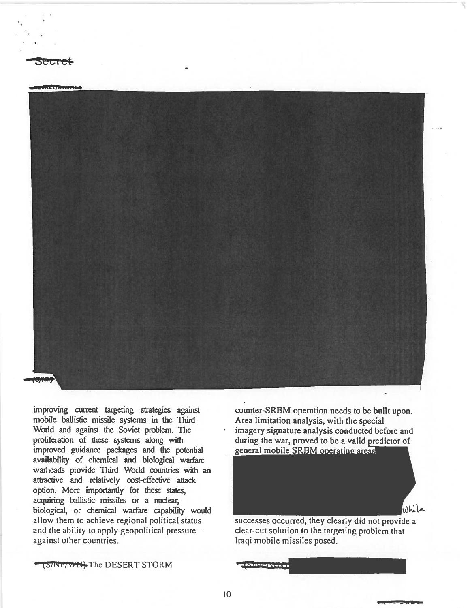

improving current targeting strategies against mobile ballistic missile systems in the Third World and against the Soviet problem. The proliferation of these systems along with improved guidance packages and the potential availability of chemical and biological warfare warheads provide Third World countries with an attractive and relatively cost-effective attack option. More importantly for these states, acquiring ballistic missiles or a nuclear, biological, or chemical warfare capability would allow them to achieve regional political status and the ability to apply geopolitical pressure against other countries.

counter-SRBM operation needs to be built upon. Area limitation analysis, with the special imagery signature analysis conducted before and during the war, proved to be <sup>a</sup> valid predictor of general mobile SRBM operating areas

successes occurred, they clearly did not provide <sup>a</sup> clear-cut solution to the targeting problem that Iraqi mobile missiles posed.

While

(SINT/WH) The DESERT STORM